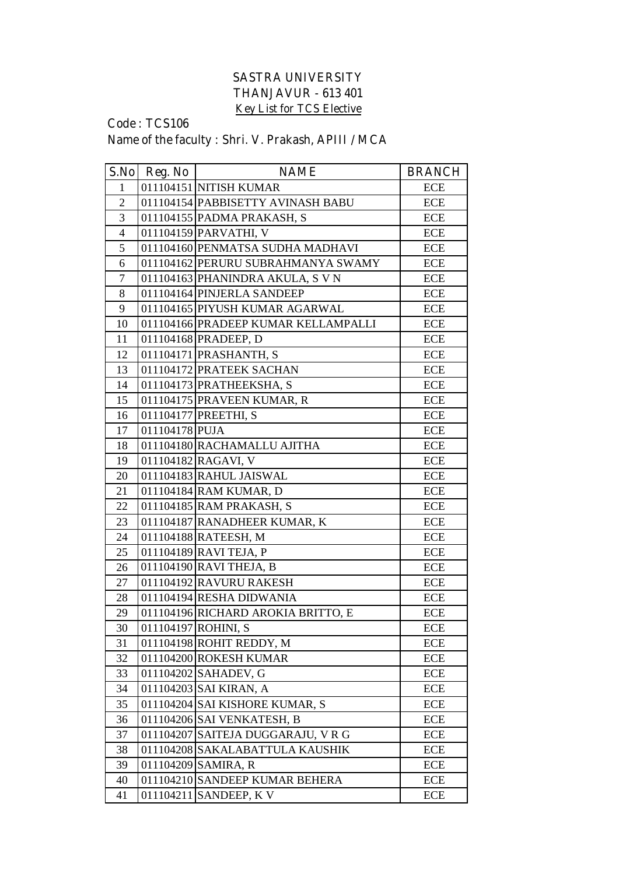## **SASTRA UNIVERSITY THANJAVUR - 613 401 Key List for TCS Elective**

## **Code : TCS106 Name of the faculty : Shri. V. Prakash, APIII / MCA**

| S.No           | Reg. No        | <b>NAME</b>                         | <b>BRANCH</b>             |
|----------------|----------------|-------------------------------------|---------------------------|
| $\mathbf{1}$   |                | 011104151 NITISH KUMAR              | ECE                       |
| $\overline{2}$ |                | 011104154 PABBISETTY AVINASH BABU   | ECE                       |
| 3              |                | 011104155 PADMA PRAKASH, S          | ECE                       |
| $\overline{4}$ |                | 011104159 PARVATHI, V               | ECE                       |
| 5              |                | 011104160 PENMATSA SUDHA MADHAVI    | ECE                       |
| 6              |                | 011104162 PERURU SUBRAHMANYA SWAMY  | <b>ECE</b>                |
| $\overline{7}$ |                | 011104163 PHANINDRA AKULA, S V N    | <b>ECE</b>                |
| 8              |                | 011104164 PINJERLA SANDEEP          | <b>ECE</b>                |
| 9              |                | 011104165 PIYUSH KUMAR AGARWAL      | ECE                       |
| 10             |                | 011104166 PRADEEP KUMAR KELLAMPALLI | ECE                       |
| 11             |                | 011104168 PRADEEP, D                | ECE                       |
| 12             |                | 011104171 PRASHANTH, S              | ECE                       |
| 13             |                | 011104172 PRATEEK SACHAN            | ECE                       |
| 14             |                | 011104173 PRATHEEKSHA, S            | <b>ECE</b>                |
| 15             |                | 011104175 PRAVEEN KUMAR, R          | <b>ECE</b>                |
| 16             |                | 011104177 PREETHI, S                | <b>ECE</b>                |
| 17             | 011104178 PUJA |                                     | <b>ECE</b>                |
| 18             |                | 011104180 RACHAMALLU AJITHA         | <b>ECE</b>                |
| 19             |                | 011104182 RAGAVI, V                 | ECE                       |
| 20             |                | 011104183 RAHUL JAISWAL             | ECE                       |
| 21             |                | 011104184 RAM KUMAR, D              | <b>ECE</b>                |
| 22             |                | 011104185 RAM PRAKASH, S            | ECE                       |
| 23             |                | 011104187 RANADHEER KUMAR, K        | <b>ECE</b>                |
| 24             |                | 011104188 RATEESH, M                | <b>ECE</b>                |
| 25             |                | 011104189 RAVI TEJA, P              | <b>ECE</b>                |
| 26             |                | 011104190 RAVI THEJA, B             | ECE                       |
| 27             |                | 011104192 RAVURU RAKESH             | ECE                       |
| 28             |                | 011104194 RESHA DIDWANIA            | ECE                       |
| 29             |                | 011104196 RICHARD AROKIA BRITTO, E  | <b>ECE</b>                |
| 30             |                | 011104197 ROHINI, S                 | $\ensuremath{\text{ECE}}$ |
| 31             |                | 011104198 ROHIT REDDY, M            | ECE                       |
| 32             |                | 011104200 ROKESH KUMAR              | <b>ECE</b>                |
| 33             |                | 011104202 SAHADEV, G                | ECE                       |
| 34             |                | 011104203 SAI KIRAN, A              | <b>ECE</b>                |
| 35             |                | 011104204 SAI KISHORE KUMAR, S      | ECE                       |
| 36             |                | 011104206 SAI VENKATESH, B          | ECE                       |
| 37             |                | 011104207 SAITEJA DUGGARAJU, VRG    | ECE                       |
| 38             |                | 011104208 SAKALABATTULA KAUSHIK     | ECE                       |
| 39             |                | 011104209 SAMIRA, R                 | ECE                       |
| 40             |                | 011104210 SANDEEP KUMAR BEHERA      | ECE                       |
| 41             |                | 011104211 SANDEEP, K V              | ECE                       |